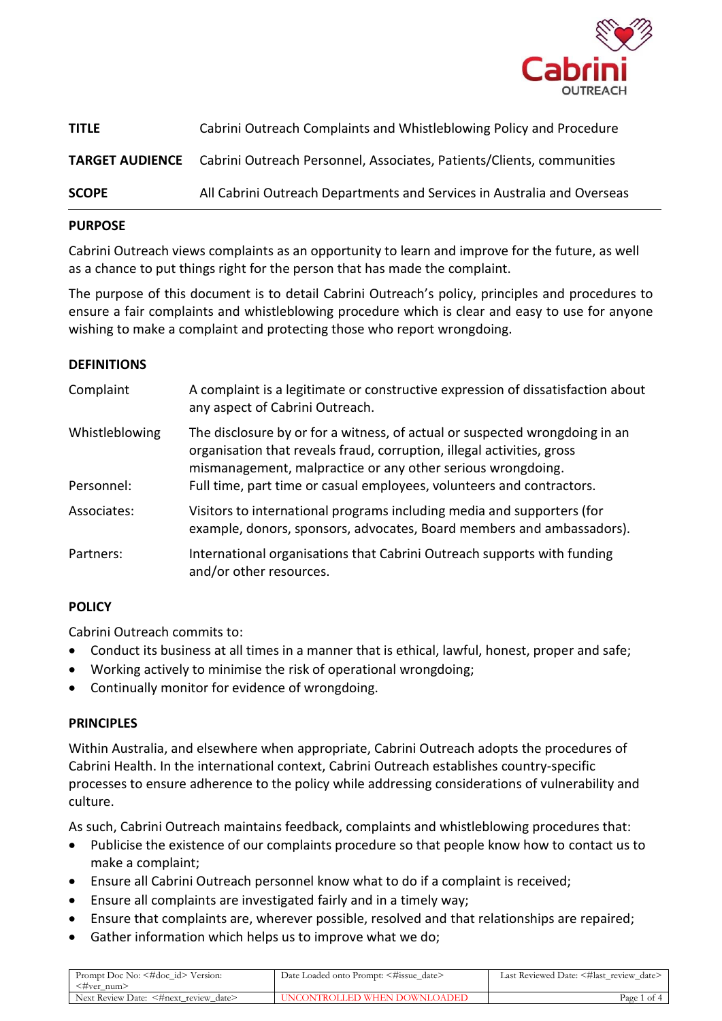

| <b>TITLE</b> | Cabrini Outreach Complaints and Whistleblowing Policy and Procedure                          |
|--------------|----------------------------------------------------------------------------------------------|
|              | <b>TARGET AUDIENCE</b> Cabrini Outreach Personnel, Associates, Patients/Clients, communities |
| <b>SCOPE</b> | All Cabrini Outreach Departments and Services in Australia and Overseas                      |

### **PURPOSE**

Cabrini Outreach views complaints as an opportunity to learn and improve for the future, as well as a chance to put things right for the person that has made the complaint.

The purpose of this document is to detail Cabrini Outreach's policy, principles and procedures to ensure a fair complaints and whistleblowing procedure which is clear and easy to use for anyone wishing to make a complaint and protecting those who report wrongdoing.

### **DEFINITIONS**

| Complaint                    | A complaint is a legitimate or constructive expression of dissatisfaction about<br>any aspect of Cabrini Outreach.                                                                                                                                                                            |
|------------------------------|-----------------------------------------------------------------------------------------------------------------------------------------------------------------------------------------------------------------------------------------------------------------------------------------------|
| Whistleblowing<br>Personnel: | The disclosure by or for a witness, of actual or suspected wrongdoing in an<br>organisation that reveals fraud, corruption, illegal activities, gross<br>mismanagement, malpractice or any other serious wrongdoing.<br>Full time, part time or casual employees, volunteers and contractors. |
|                              |                                                                                                                                                                                                                                                                                               |
| Associates:                  | Visitors to international programs including media and supporters (for<br>example, donors, sponsors, advocates, Board members and ambassadors).                                                                                                                                               |
| Partners:                    | International organisations that Cabrini Outreach supports with funding<br>and/or other resources.                                                                                                                                                                                            |

# **POLICY**

Cabrini Outreach commits to:

- Conduct its business at all times in a manner that is ethical, lawful, honest, proper and safe;
- Working actively to minimise the risk of operational wrongdoing;
- Continually monitor for evidence of wrongdoing.

#### **PRINCIPLES**

Within Australia, and elsewhere when appropriate, Cabrini Outreach adopts the procedures of Cabrini Health. In the international context, Cabrini Outreach establishes country-specific processes to ensure adherence to the policy while addressing considerations of vulnerability and culture.

As such, Cabrini Outreach maintains feedback, complaints and whistleblowing procedures that:

- Publicise the existence of our complaints procedure so that people know how to contact us to make a complaint;
- Ensure all Cabrini Outreach personnel know what to do if a complaint is received;
- Ensure all complaints are investigated fairly and in a timely way;
- Ensure that complaints are, wherever possible, resolved and that relationships are repaired;
- Gather information which helps us to improve what we do;

| Prompt Doc No: <#doc_id> Version:<br>≺#ver num> | Date Loaded onto Prompt: <#issue_date> | Last Reviewed Date: <#last_review_date> |
|-------------------------------------------------|----------------------------------------|-----------------------------------------|
| Next Review Date: <#next_review_date>           | UNCONTROLLED WHEN DOWNLOADED           | Page 1 of 4                             |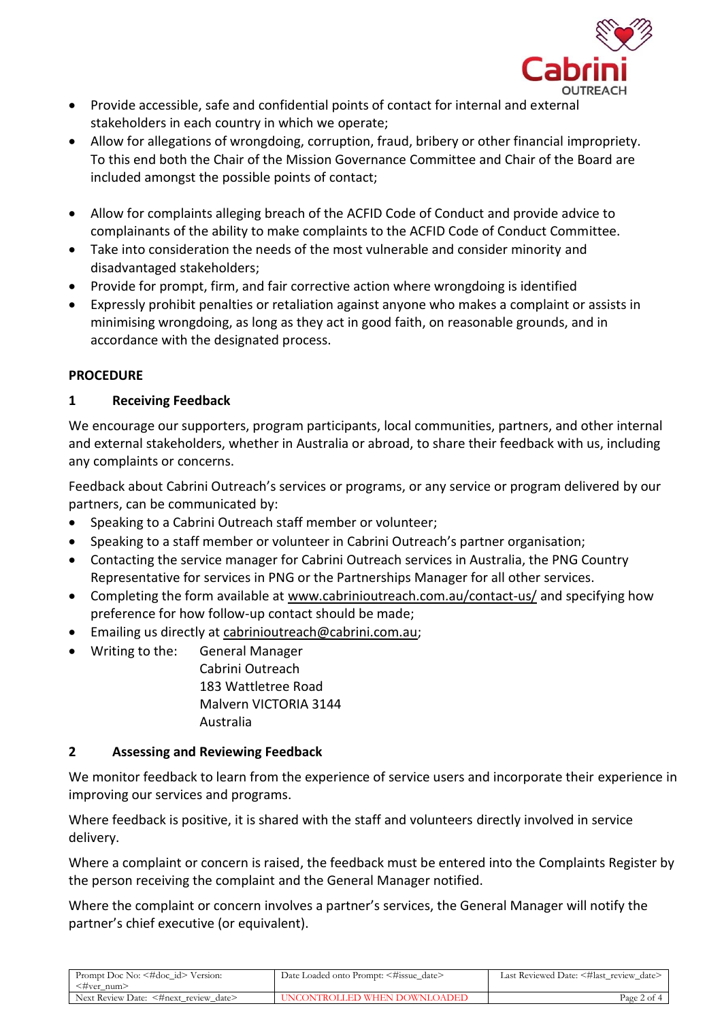

- Provide accessible, safe and confidential points of contact for internal and external stakeholders in each country in which we operate;
- Allow for allegations of wrongdoing, corruption, fraud, bribery or other financial impropriety. To this end both the Chair of the Mission Governance Committee and Chair of the Board are included amongst the possible points of contact;
- Allow for complaints alleging breach of the ACFID Code of Conduct and provide advice to complainants of the ability to make complaints to the ACFID Code of Conduct Committee.
- Take into consideration the needs of the most vulnerable and consider minority and disadvantaged stakeholders;
- Provide for prompt, firm, and fair corrective action where wrongdoing is identified
- Expressly prohibit penalties or retaliation against anyone who makes a complaint or assists in minimising wrongdoing, as long as they act in good faith, on reasonable grounds, and in accordance with the designated process.

# **PROCEDURE**

# **1 Receiving Feedback**

We encourage our supporters, program participants, local communities, partners, and other internal and external stakeholders, whether in Australia or abroad, to share their feedback with us, including any complaints or concerns.

Feedback about Cabrini Outreach's services or programs, or any service or program delivered by our partners, can be communicated by:

- Speaking to a Cabrini Outreach staff member or volunteer;
- Speaking to a staff member or volunteer in Cabrini Outreach's partner organisation;
- Contacting the service manager for Cabrini Outreach services in Australia, the PNG Country Representative for services in PNG or the Partnerships Manager for all other services.
- Completing the form available at [www.cabrinioutreach.com.au/contact-us/](http://www.cabrinioutreach.com.au/contact-us/) and specifying how preference for how follow-up contact should be made;
- Emailing us directly at [cabrinioutreach@cabrini.com.au;](mailto:cabrinioutreach@cabrini.com.au)
- Writing to the: General Manager Cabrini Outreach 183 Wattletree Road Malvern VICTORIA 3144 Australia

# **2 Assessing and Reviewing Feedback**

We monitor feedback to learn from the experience of service users and incorporate their experience in improving our services and programs.

Where feedback is positive, it is shared with the staff and volunteers directly involved in service delivery.

Where a complaint or concern is raised, the feedback must be entered into the Complaints Register by the person receiving the complaint and the General Manager notified.

Where the complaint or concern involves a partner's services, the General Manager will notify the partner's chief executive (or equivalent).

| <#ver num><br>Next Review Date: <#next review date><br>UNCONTROLLED WHEN DOWNLOADED | Prompt Doc No: <#doc_id> Version: | Date Loaded onto Prompt: <#issue_date> | Last Reviewed Date: <#last review date> |
|-------------------------------------------------------------------------------------|-----------------------------------|----------------------------------------|-----------------------------------------|
|                                                                                     |                                   |                                        |                                         |
|                                                                                     |                                   |                                        | Page 2 of 4                             |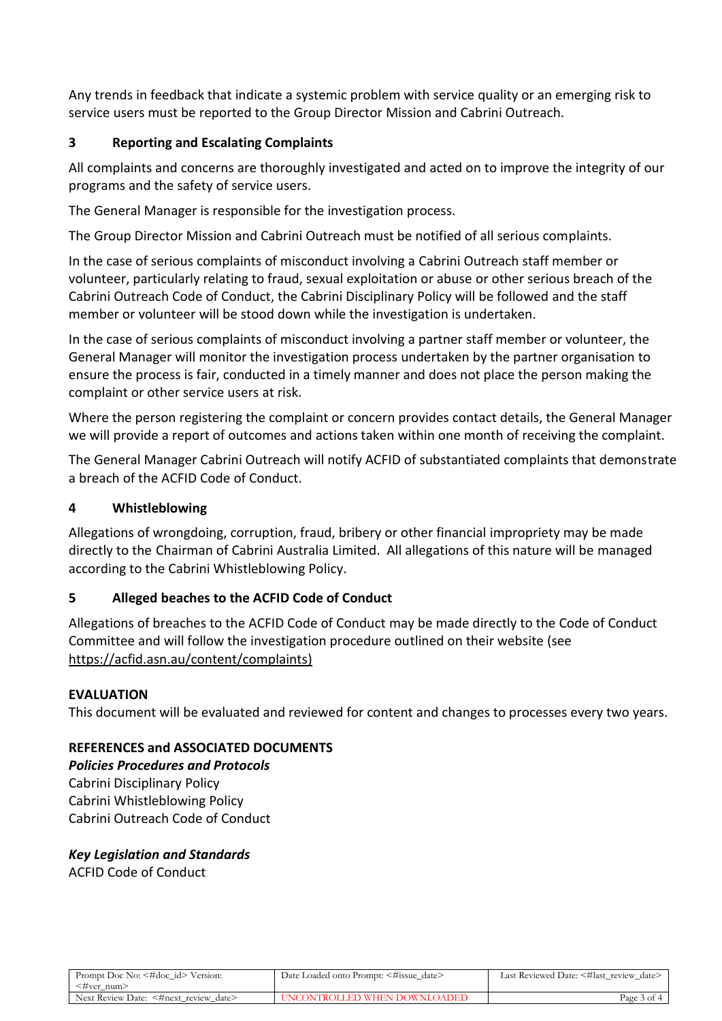Any trends in feedback that indicate a systemic problem with service quality or an emerging risk to service users must be reported to the Group Director Mission and Cabrini Outreach.

# **3 Reporting and Escalating Complaints**

All complaints and concerns are thoroughly investigated and acted on to improve the integrity of our programs and the safety of service users.

The General Manager is responsible for the investigation process.

The Group Director Mission and Cabrini Outreach must be notified of all serious complaints.

In the case of serious complaints of misconduct involving a Cabrini Outreach staff member or volunteer, particularly relating to fraud, sexual exploitation or abuse or other serious breach of the Cabrini Outreach Code of Conduct, the Cabrini Disciplinary Policy will be followed and the staff member or volunteer will be stood down while the investigation is undertaken.

In the case of serious complaints of misconduct involving a partner staff member or volunteer, the General Manager will monitor the investigation process undertaken by the partner organisation to ensure the process is fair, conducted in a timely manner and does not place the person making the complaint or other service users at risk.

Where the person registering the complaint or concern provides contact details, the General Manager we will provide a report of outcomes and actions taken within one month of receiving the complaint.

The General Manager Cabrini Outreach will notify ACFID of substantiated complaints that demonstrate a breach of the ACFID Code of Conduct.

## **4 Whistleblowing**

Allegations of wrongdoing, corruption, fraud, bribery or other financial impropriety may be made directly to the Chairman of Cabrini Australia Limited. All allegations of this nature will be managed according to the Cabrini Whistleblowing Policy.

# **5 Alleged beaches to the ACFID Code of Conduct**

Allegations of breaches to the ACFID Code of Conduct may be made directly to the Code of Conduct Committee and will follow the investigation procedure outlined on their website (see [https://acfid.asn.au/content/complaints\)](https://acfid.asn.au/content/complaints)

#### **EVALUATION**

This document will be evaluated and reviewed for content and changes to processes every two years.

# **REFERENCES and ASSOCIATED DOCUMENTS**

*Policies Procedures and Protocols* Cabrini Disciplinary Policy Cabrini Whistleblowing Policy Cabrini Outreach Code of Conduct

# *Key Legislation and Standards*

ACFID Code of Conduct

| Prompt Doc No: <#doc_id> Version:     | Date Loaded onto Prompt: <#issue_date> | Last Reviewed Date: <#last review date> |
|---------------------------------------|----------------------------------------|-----------------------------------------|
| ≺#ver num>                            |                                        |                                         |
| Next Review Date: <#next_review_date> | UNCONTROLLED WHEN DOWNLOADED           | Page 3 of 4                             |
|                                       |                                        |                                         |